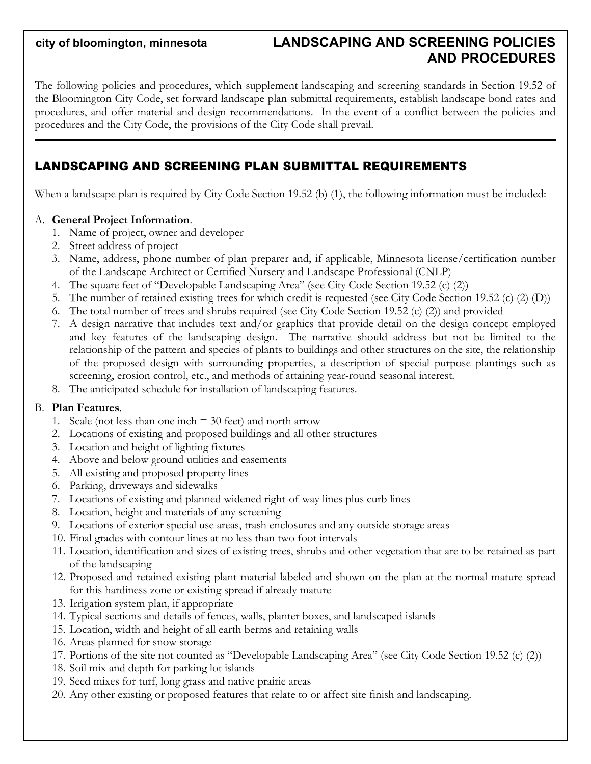# **city of bloomington, minnesota LANDSCAPING AND SCREENING POLICIES AND PROCEDURES**

The following policies and procedures, which supplement landscaping and screening standards in Section 19.52 of the Bloomington City Code, set forward landscape plan submittal requirements, establish landscape bond rates and procedures, and offer material and design recommendations. In the event of a conflict between the policies and procedures and the City Code, the provisions of the City Code shall prevail.

## LANDSCAPING AND SCREENING PLAN SUBMITTAL REQUIREMENTS

When a landscape plan is required by City Code Section 19.52 (b) (1), the following information must be included:

#### A. **General Project Information**.

- 1. Name of project, owner and developer
- 2. Street address of project
- 3. Name, address, phone number of plan preparer and, if applicable, Minnesota license/certification number of the Landscape Architect or Certified Nursery and Landscape Professional (CNLP)
- 4. The square feet of "Developable Landscaping Area" (see City Code Section 19.52 (c) (2))
- 5. The number of retained existing trees for which credit is requested (see City Code Section 19.52 (c) (2) (D))
- 6. The total number of trees and shrubs required (see City Code Section 19.52 (c) (2)) and provided
- 7. A design narrative that includes text and/or graphics that provide detail on the design concept employed and key features of the landscaping design. The narrative should address but not be limited to the relationship of the pattern and species of plants to buildings and other structures on the site, the relationship of the proposed design with surrounding properties, a description of special purpose plantings such as screening, erosion control, etc., and methods of attaining year-round seasonal interest.
- 8. The anticipated schedule for installation of landscaping features.

#### B. **Plan Features**.

- 1. Scale (not less than one inch  $=$  30 feet) and north arrow
- 2. Locations of existing and proposed buildings and all other structures
- 3. Location and height of lighting fixtures
- 4. Above and below ground utilities and easements
- 5. All existing and proposed property lines
- 6. Parking, driveways and sidewalks
- 7. Locations of existing and planned widened right-of-way lines plus curb lines
- 8. Location, height and materials of any screening
- 9. Locations of exterior special use areas, trash enclosures and any outside storage areas
- 10. Final grades with contour lines at no less than two foot intervals
- 11. Location, identification and sizes of existing trees, shrubs and other vegetation that are to be retained as part of the landscaping
- 12. Proposed and retained existing plant material labeled and shown on the plan at the normal mature spread for this hardiness zone or existing spread if already mature
- 13. Irrigation system plan, if appropriate
- 14. Typical sections and details of fences, walls, planter boxes, and landscaped islands
- 15. Location, width and height of all earth berms and retaining walls
- 16. Areas planned for snow storage
- 17. Portions of the site not counted as "Developable Landscaping Area" (see City Code Section 19.52 (c) (2))
- 18. Soil mix and depth for parking lot islands
- 19. Seed mixes for turf, long grass and native prairie areas
- 20. Any other existing or proposed features that relate to or affect site finish and landscaping.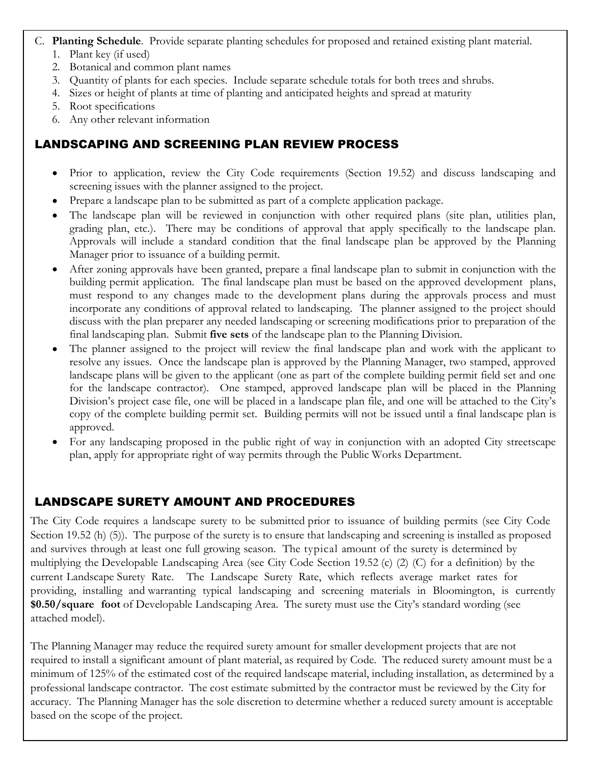### C. **Planting Schedule**. Provide separate planting schedules for proposed and retained existing plant material.

- 1. Plant key (if used)
- 2. Botanical and common plant names
- 3. Quantity of plants for each species. Include separate schedule totals for both trees and shrubs.
- 4. Sizes or height of plants at time of planting and anticipated heights and spread at maturity
- 5. Root specifications
- 6. Any other relevant information

#### LANDSCAPING AND SCREENING PLAN REVIEW PROCESS Parking lot islands should include an 18-inch area clear of trees, shrubs, or perennials along each curb edge.

- Prior to application, review the City Code requirements (Section 19.52) and discuss landscaping and screening issues with the planner assigned to the project. Irrigation systems are not required for parking lot islands, but provisions should be made for watering Prior to application, review the City Code requirements (Section 19.52) and discuss landscapi
- Prepare a landscape plan to be submitted as part of a complete application package.
- The landscape plan will be reviewed in conjunction with other required plans (site plan, utilities plan, grading plan, etc.). There may be conditions of approval that apply specifically to the landscape plan. Approvals will include a standard condition that the final landscape plan be approved by the Planning Manager prior to issuance of a building permit.
- After zoning approvals have been granted, prepare a final landscape plan to submit in conjunction with the building permit application. The final landscape plan must be based on the approved development plans, must respond to any changes made to the development plans during the approvals process and must incorporate any conditions of approval related to landscaping. The planner assigned to the project should discuss with the plan preparer any needed landscaping or screening modifications prior to preparation of the final landscaping plan. Submit **five sets** of the landscape plan to the Planning Division.
- The planner assigned to the project will review the final landscape plan and work with the applicant to resolve any issues. Once the landscape plan is approved by the Planning Manager, two stamped, approved landscape plans will be given to the applicant (one as part of the complete building permit field set and one for the landscape contractor). One stamped, approved landscape plan will be placed in the Planning Division's project case file, one will be placed in a landscape plan file, and one will be attached to the City's copy of the complete building permit set. Building permits will not be issued until a final landscape plan is approved.
- For any landscaping proposed in the public right of way in conjunction with an adopted City streetscape plan, apply for appropriate right of way permits through the Public Works Department.

## LANDSCAPE SURETY AMOUNT AND PROCEDURES

The City Code requires a landscape surety to be submitted prior to issuance of building permits (see City Code Section 19.52 (h) (5)). The purpose of the surety is to ensure that landscaping and screening is installed as proposed and survives through at least one full growing season. The typical amount of the surety is determined by multiplying the Developable Landscaping Area (see City Code Section 19.52 (c) (2) (C) for a definition) by the current Landscape Surety Rate. The Landscape Surety Rate, which reflects average market rates for providing, installing and warranting typical landscaping and screening materials in Bloomington, is currently **\$0.50/square foot** of Developable Landscaping Area. The surety must use the City's standard wording (see attached model).

The Planning Manager may reduce the required surety amount for smaller development projects that are not required to install a significant amount of plant material, as required by Code. The reduced surety amount must be a minimum of 125% of the estimated cost of the required landscape material, including installation, as determined by a professional landscape contractor. The cost estimate submitted by the contractor must be reviewed by the City for accuracy. The Planning Manager has the sole discretion to determine whether a reduced surety amount is acceptable based on the scope of the project.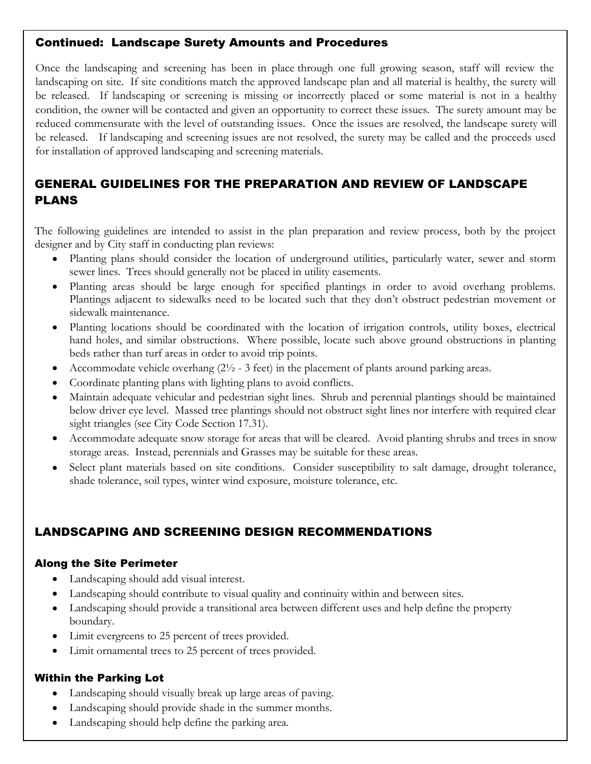## Continued: Landscape Surety Amounts and Procedures

Once the landscaping and screening has been in place through one full growing season, staff will review the landscaping on site. If site conditions match the approved landscape plan and all material is healthy, the surety will be released. If landscaping or screening is missing or incorrectly placed or some material is not in a healthy condition, the owner will be contacted and given an opportunity to correct these issues. The surety amount may be reduced commensurate with the level of outstanding issues. Once the issues are resolved, the landscape surety will be released. If landscaping and screening issues are not resolved, the surety may be called and the proceeds used for installation of approved landscaping and screening materials.

#### GENERAL GUIDELINES FOR THE PREPARATION AND REVIEW OF LANDSCAPE PLANS vegetation as needed. City Code Section 19.52 (h) requires replacement of dead landscape materials.

The following guidelines are intended to assist in the plan preparation and review process, both by the project designer and by City staff in conducting plan reviews:

- Planting plans should consider the location of underground utilities, particularly water, sewer and storm  $\bullet$ sewer lines. Trees should generally not be placed in utility easements.
- Planting areas should be large enough for specified plantings in order to avoid overhang problems. Plantings adjacent to sidewalks need to be located such that they don't obstruct pedestrian movement or sidewalk maintenance.
- Planting locations should be coordinated with the location of irrigation controls, utility boxes, electrical hand holes, and similar obstructions. Where possible, locate such above ground obstructions in planting beds rather than turf areas in order to avoid trip points.
- Accommodate vehicle overhang  $(2\frac{1}{2} 3$  feet) in the placement of plants around parking areas.
- Coordinate planting plans with lighting plans to avoid conflicts.
- Maintain adequate vehicular and pedestrian sight lines. Shrub and perennial plantings should be maintained below driver eye level. Massed tree plantings should not obstruct sight lines nor interfere with required clear sight triangles (see City Code Section 17.31).
- Accommodate adequate snow storage for areas that will be cleared. Avoid planting shrubs and trees in snow storage areas. Instead, perennials and Grasses may be suitable for these areas.
- Select plant materials based on site conditions. Consider susceptibility to salt damage, drought tolerance, shade tolerance, soil types, winter wind exposure, moisture tolerance, etc.

# LANDSCAPING AND SCREENING DESIGN RECOMMENDATIONS

## Along the Site Perimeter

- Landscaping should add visual interest.
- Landscaping should contribute to visual quality and continuity within and between sites.
- Landscaping should provide a transitional area between different uses and help define the property boundary.
- Limit evergreens to 25 percent of trees provided.
- Limit ornamental trees to 25 percent of trees provided.

## Within the Parking Lot

- Landscaping should visually break up large areas of paving.
- Landscaping should provide shade in the summer months.
- Landscaping should help define the parking area.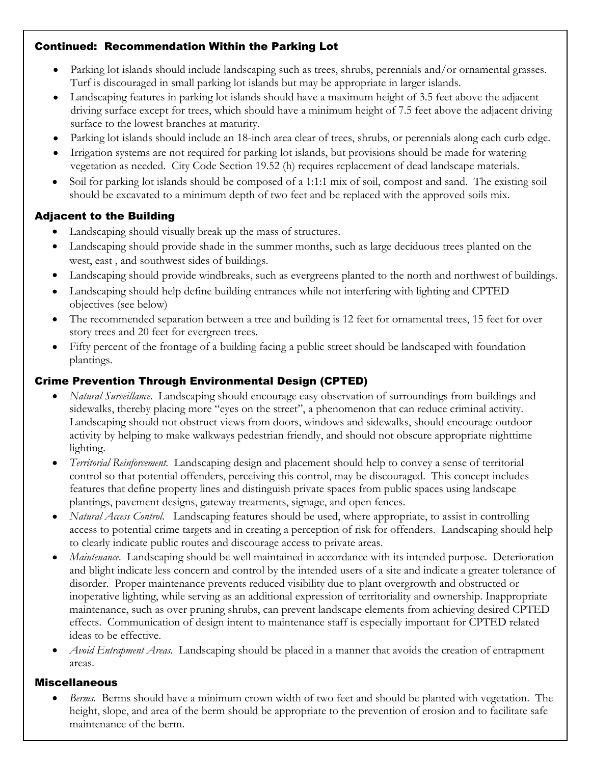## Continued: Recommendation Within the Parking Lot

- Parking lot islands should include landscaping such as trees, shrubs, perennials and/or ornamental grasses. Turf is discouraged in small parking lot islands but may be appropriate in larger islands.
- Landscaping features in parking lot islands should have a maximum height of 3.5 feet above the adjacent driving surface except for trees, which should have a minimum height of 7.5 feet above the adjacent driving surface to the lowest branches at maturity.
- Parking lot islands should include an 18-inch area clear of trees, shrubs, or perennials along each curb edge.
- Irrigation systems are not required for parking lot islands, but provisions should be made for watering vegetation as needed. City Code Section 19.52 (h) requires replacement of dead landscape materials.
- Soil for parking lot islands should be composed of a 1:1:1 mix of soil, compost and sand. The existing soil should be excavated to a minimum depth of two feet and be replaced with the approved soils mix.

## Adjacent to the Building

- Landscaping should visually break up the mass of structures.
- Landscaping should provide shade in the summer months, such as large deciduous trees planted on the west, east , and southwest sides of buildings.
- Landscaping should provide windbreaks, such as evergreens planted to the north and northwest of buildings.
- Landscaping should help define building entrances while not interfering with lighting and CPTED objectives (see below)
- The recommended separation between a tree and building is 12 feet for ornamental trees, 15 feet for over story trees and 20 feet for evergreen trees.
- Fifty percent of the frontage of a building facing a public street should be landscaped with foundation plantings.

## Crime Prevention Through Environmental Design (CPTED)

- *Natural Surveillance*. Landscaping should encourage easy observation of surroundings from buildings and sidewalks, thereby placing more "eyes on the street", a phenomenon that can reduce criminal activity. Landscaping should not obstruct views from doors, windows and sidewalks, should encourage outdoor activity by helping to make walkways pedestrian friendly, and should not obscure appropriate nighttime lighting.
- *Territorial Reinforcement*. Landscaping design and placement should help to convey a sense of territorial  $\bullet$ control so that potential offenders, perceiving this control, may be discouraged. This concept includes features that define property lines and distinguish private spaces from public spaces using landscape plantings, pavement designs, gateway treatments, signage, and open fences.
- *Natural Access Control*. Landscaping features should be used, where appropriate, to assist in controlling access to potential crime targets and in creating a perception of risk for offenders. Landscaping should help to clearly indicate public routes and discourage access to private areas.
- *Maintenance*. Landscaping should be well maintained in accordance with its intended purpose. Deterioration and blight indicate less concern and control by the intended users of a site and indicate a greater tolerance of disorder. Proper maintenance prevents reduced visibility due to plant overgrowth and obstructed or inoperative lighting, while serving as an additional expression of territoriality and ownership. Inappropriate maintenance, such as over pruning shrubs, can prevent landscape elements from achieving desired CPTED effects. Communication of design intent to maintenance staff is especially important for CPTED related ideas to be effective.
- *Avoid Entrapment Areas*. Landscaping should be placed in a manner that avoids the creation of entrapment areas.

## Miscellaneous

*Berms*. Berms should have a minimum crown width of two feet and should be planted with vegetation. The height, slope, and area of the berm should be appropriate to the prevention of erosion and to facilitate safe maintenance of the berm.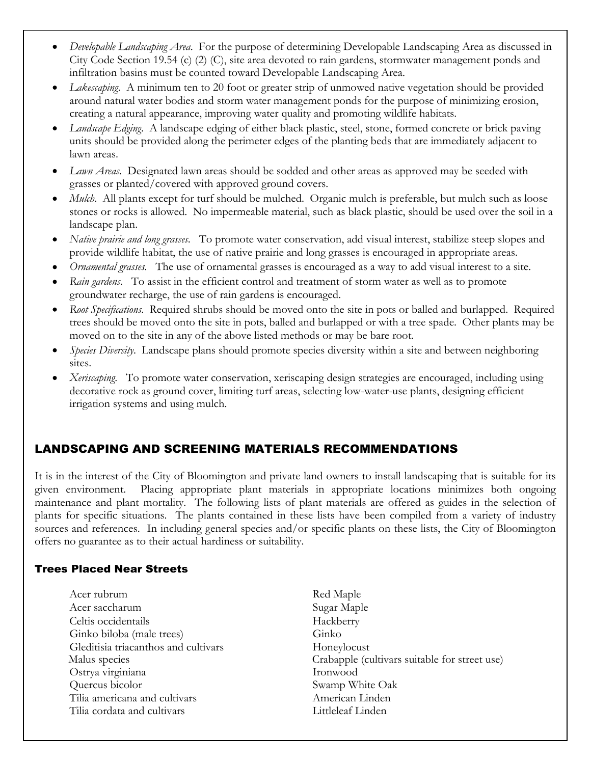- *Developable Landscaping Area*. For the purpose of determining Developable Landscaping Area as discussed in  $\bullet$ City Code Section 19.54 (c) (2) (C), site area devoted to rain gardens, stormwater management ponds and infiltration basins must be counted toward Developable Landscaping Area.
- Parking lot is lot include the marking street as trees, shown as the country of the country of the country of the country of the country of the country of the country of the country of the country of the country of the cou Lakescaping. A minimum ten to 20 foot or greater strip of unmowed native vegetation should be provided around matural water bounes and storm water management points for the purpose of minimizing erosion,<br>creating a natural appearance, improving water quality and promoting wildlife habitats. around natural water bodies and storm water management ponds for the purpose of minimizing erosion,
- $\frac{d}{dx}$  a minimum appearance, improving water quality and promoting whence magnatis. Landscape Edging. A landscape edging of either black plastic, steel, stone, formed concrete or brick paving units should be provided along the perimeter edges of the planting beds that are immediately adjacent to<br>lawn areas lawn areas.
- Irrigation systems are not required for parking lot is parking lot is parking lot is shown in the material be ma<br>Irrigations shown in the material behaviour watering lot is parking lot watering lot watering lot watering l Lawn Areas. Designated lawn areas should be sodded and other areas as approved may be seeded with grasses or planted/covered with approved ground covers.
- *Mulch*. All plants except for turf should be mulched. Organic mulch is preferable, but mulch such as loose stones or rocks is allowed. No impermeable material, such as black plastic, should be used over the soil in a landscape plan.
- *Native prairie and long grasses*. To promote water conservation, add visual interest, stabilize steep slopes and provide wildlife habitat, the use of native prairie and long grasses is encouraged in appropriate areas.
- *Ornamental grasses*. The use of ornamental grasses is encouraged as a way to add visual interest to a site.
- *Rain gardens*. To assist in the efficient control and treatment of storm water as well as to promote groundwater recharge, the use of rain gardens is encouraged.
- *Root Specifications*. Required shrubs should be moved onto the site in pots or balled and burlapped. Required trees should be moved onto the site in pots, balled and burlapped or with a tree spade. Other plants may be moved on to the site in any of the above listed methods or may be bare root.
- *Species Diversity*. Landscape plans should promote species diversity within a site and between neighboring sites.
- *Xeriscaping*. To promote water conservation, xeriscaping design strategies are encouraged, including using decorative rock as ground cover, limiting turf areas, selecting low-water-use plants, designing efficient irrigation systems and using mulch.

# LANDSCAPING AND SCREENING MATERIALS RECOMMENDATIONS

It is in the interest of the City of Bloomington and private land owners to install landscaping that is suitable for its given environment. Placing appropriate plant materials in appropriate locations minimizes both ongoing maintenance and plant mortality. The following lists of plant materials are offered as guides in the selection of plants for specific situations. The plants contained in these lists have been compiled from a variety of industry sources and references. In including general species and/or specific plants on these lists, the City of Bloomington offers no guarantee as to their actual hardiness or suitability.

## Trees Placed Near Streets

- Acer rubrum Red Maple Acer saccharum Sugar Maple Celtis occidentails Hackberry Ginko biloba (male trees) Ginko Gleditisia triacanthos and cultivars Honeylocust Ostrya virginiana Ironwood Quercus bicolor Swamp White Oak Tilia americana and cultivars American Linden Tilia cordata and cultivars **Littleleaf Linden**
- Malus species Crabapple (cultivars suitable for street use)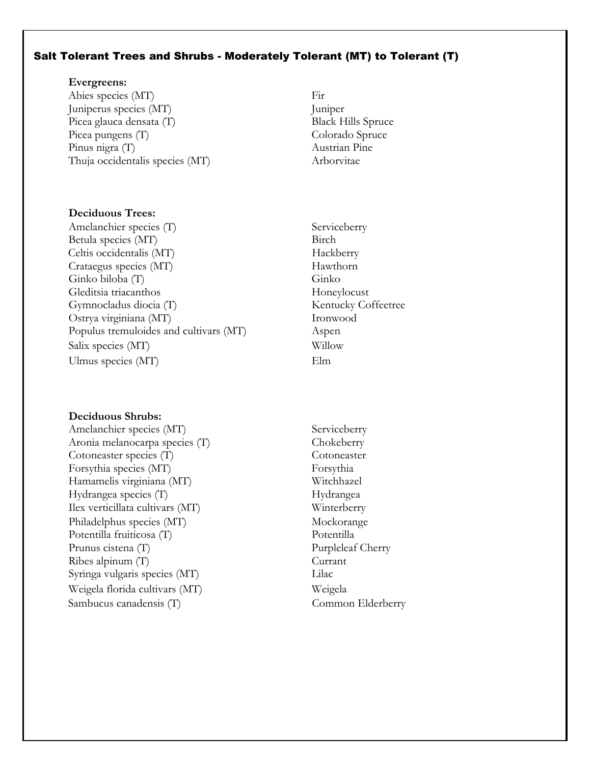#### Salt Tolerant Trees and Shrubs - Moderately Tolerant (MT) to Tolerant (T)

#### Parking lot islands should include landscaping such as trees, shrubs, perennials and/or ornamental grasses. **Evergreens:**

Abies species (MT) Fir Juniperus species (MT) Juniper Picea glauca densata (T) a minimum height of 7.5 feet above the adjack Hills Spruce the adjack Hills Spruce the adjack Hills Spruce the adjack Hills Spruce the adjack Hills Spruce the adjack Hills Spruce the adjack of 7.5 Picea pungens (T) and at maturity. Colorado Spruce Pinus nigra (T) and 18-inch area clear of trees, showledge and trees, she curb edge. Austrian Pine Thuja occidentalis species (MT) Arborvitae

## **Deciduous Trees:**

Amelanchier species (T) Serviceberry Betula species (MT) Birch Crataegus species (MT) Hawthorn Ginko biloba (T) Ginko Gleditsia triacanthos Honeylocust Gymnocladus diocia (T) Kentucky Coffeetree Ostrya virginiana (MT) Ironwood Populus tremuloides and cultivars (MT) Aspen Salix species (MT) Willow Ulmus species (MT) Elm Celtis occidentalis (MT) Hackberry

#### **Deciduous Shrubs:**

Amelanchier species (MT) Serviceberry Aronia melanocarpa species (T) Chokeberry Cotoneaster species (T) Cotoneaster Forsythia species (MT) Forsythia Hamamelis virginiana (MT) Witchhazel Hydrangea species (T) Hydrangea Ilex verticillata cultivars (MT) Winterberry Philadelphus species (MT) Mockorange Potentilla fruiticosa (T) Potentilla Prunus cistena (T) Purpleleaf Cherry Ribes alpinum (T) Currant Syringa vulgaris species (MT) Lilac Weigela florida cultivars (MT) Weigela Sambucus canadensis (T) Common Elderberry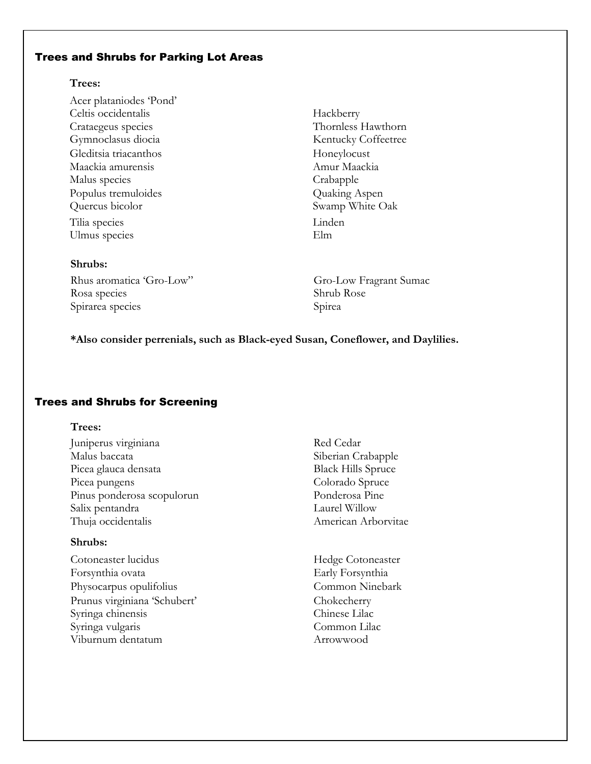#### Trees and Shrubs for Parking Lot Areas

#### Prees, should include landscaping such as trees, should include the share should grasses. **Trees:**

Acer plataniodes 'Pond' Landscapital features in particular features in particular showld have a maximum height of 3.5 feet above the adjacent of 3.5 feet above the adjacent of 3.5 feet above the adjacent of 3.5 feet above the adjacent of 3.5 fee driving surface except fractions of trees, which should have a minimum height of 7.5 feet above the adjacent of 7.5 feet above the adjacent driving driving  $\alpha$  and  $\alpha$  and  $\alpha$  are  $\alpha$  and  $\alpha$  are  $\alpha$  and  $\alpha$  are  $\alpha$ Crataegeus species<br>Gymnoclasus diocia Parking lot islands should include an 18-inch area clear of trees, shrubs, or perennials along each curb edge. Gleditsia triacanthos Honeylocust Maackia amurensis are not required for parking lot is a should be made for watering and watering made for watering  $A$ mur Maackia Vegetation as needed. Communication 19.52 (h) requires replacement of the code Section 19.52 (h) replacement of  $\alpha$ Celtis occidentalis Hackberry Malus species Crabapple Populus tremuloides **Quaking Aspen** Quercus bicolor Swamp White Oak Tilia species Linden Ulmus species Elm

#### **Shrubs:**

Rhus aromatica 'Gro-Low" Gro-Low Fragrant Sumac Rosa species Shrub Rose Spirarea species Spirea

Kentucky Coffeetree

#### **\*Also consider perrenials, such as Black-eyed Susan, Coneflower, and Daylilies.**

## Trees and Shrubs for Screening

#### **Trees:**

Juniperus virginiana Red Cedar Malus baccata Siberian Crabapple Picea glauca densata Black Hills Spruce Picea pungens Colorado Spruce Pinus ponderosa scopulorun Ponderosa Pine Salix pentandra Laurel Willow Thuja occidentalis American Arborvitae

#### **Shrubs:**

- Cotoneaster lucidus Hedge Cotoneaster Forsynthia ovata Early Forsynthia Physocarpus opulifolius Common Ninebark Prunus virginiana 'Schubert' Chokecherry Syringa chinensis Chinese Lilac Syringa vulgaris Common Lilac Viburnum dentatum Arrowwood
- -